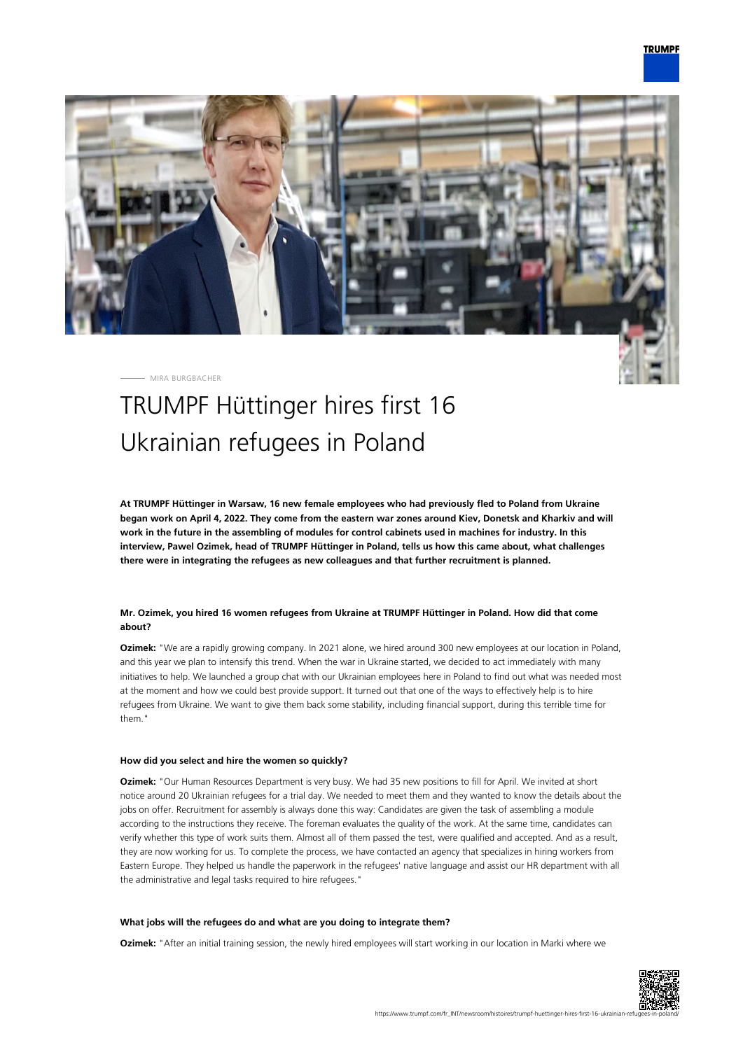

MIRA BURGBACHER

# TRUMPF Hüttinger hires first 16 Ukrainian refugees in Poland

**At TRUMPF Hüttinger in Warsaw, 16 new female employees who had previously fled to Poland from Ukraine began work on April 4, 2022. They come from the eastern war zones around Kiev, Donetsk and Kharkiv and will work in the future in the assembling of modules for control cabinets used in machines for industry. In this interview, Pawel Ozimek, head of TRUMPF Hüttinger in Poland, tells us how this came about, what challenges there were in integrating the refugees as new colleagues and that further recruitment is planned.**

## **Mr. Ozimek, you hired 16 women refugees from Ukraine at TRUMPF Hüttinger in Poland. How did that come about?**

**Ozimek:** "We are a rapidly growing company. In 2021 alone, we hired around 300 new employees at our location in Poland, and this year we plan to intensify this trend. When the war in Ukraine started, we decided to act immediately with many initiatives to help. We launched a group chat with our Ukrainian employees here in Poland to find out what was needed most at the moment and how we could best provide support. It turned out that one of the ways to effectively help is to hire refugees from Ukraine. We want to give them back some stability, including financial support, during this terrible time for them."

## **How did you select and hire the women so quickly?**

**Ozimek:** "Our Human Resources Department is very busy. We had 35 new positions to fill for April. We invited at short notice around 20 Ukrainian refugees for a trial day. We needed to meet them and they wanted to know the details about the jobs on offer. Recruitment for assembly is always done this way: Candidates are given the task of assembling a module according to the instructions they receive. The foreman evaluates the quality of the work. At the same time, candidates can verify whether this type of work suits them. Almost all of them passed the test, were qualified and accepted. And as a result, they are now working for us. To complete the process, we have contacted an agency that specializes in hiring workers from Eastern Europe. They helped us handle the paperwork in the refugees' native language and assist our HR department with all the administrative and legal tasks required to hire refugees."

#### **What jobs will the refugees do and what are you doing to integrate them?**

**Ozimek:** "After an initial training session, the newly hired employees will start working in our location in Marki where we

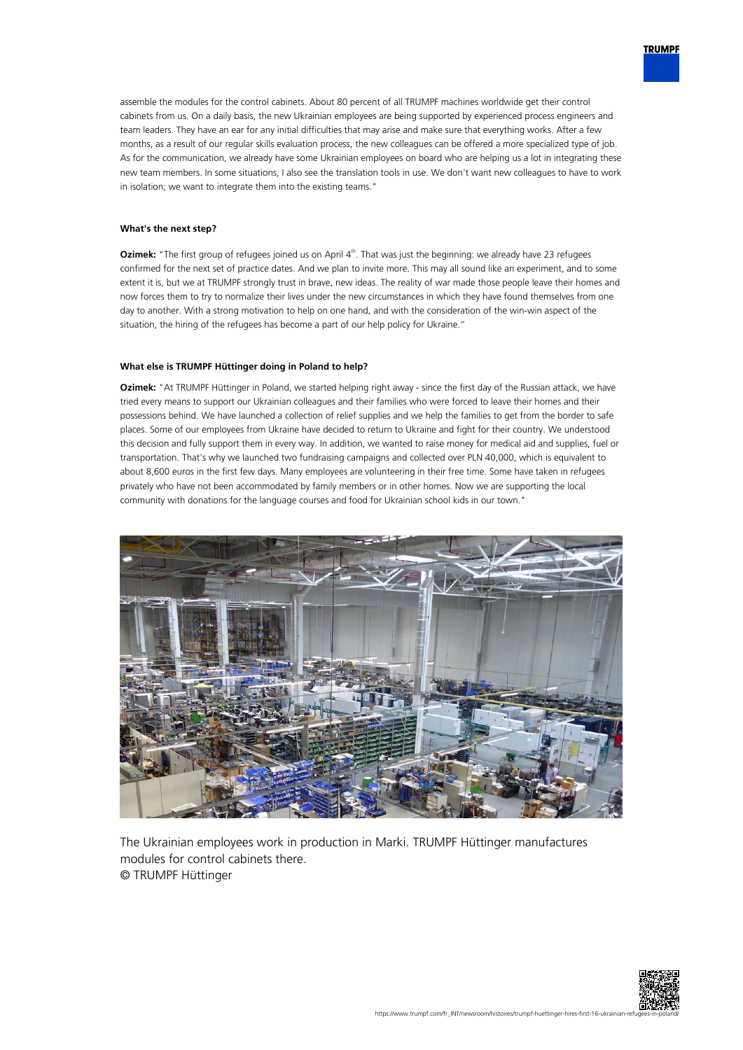assemble the modules for the control cabinets. About 80 percent of all TRUMPF machines worldwide get their control cabinets from us. On a daily basis, the new Ukrainian employees are being supported by experienced process engineers and team leaders. They have an ear for any initial difficulties that may arise and make sure that everything works. After a few months, as a result of our regular skills evaluation process, the new colleagues can be offered a more specialized type of job. As for the communication, we already have some Ukrainian employees on board who are helping us a lot in integrating these new team members. In some situations, I also see the translation tools in use. We don't want new colleagues to have to work in isolation; we want to integrate them into the existing teams."

### **What's the next step?**

**Ozimek:** "The first group of refugees joined us on April 4<sup>th</sup>. That was just the beginning: we already have 23 refugees confirmed for the next set of practice dates. And we plan to invite more. This may all sound like an experiment, and to some extent it is, but we at TRUMPF strongly trust in brave, new ideas. The reality of war made those people leave their homes and now forces them to try to normalize their lives under the new circumstances in which they have found themselves from one day to another. With a strong motivation to help on one hand, and with the consideration of the win-win aspect of the situation, the hiring of the refugees has become a part of our help policy for Ukraine."

#### **What else is TRUMPF Hüttinger doing in Poland to help?**

**Ozimek:** "At TRUMPF Hüttinger in Poland, we started helping right away - since the first day of the Russian attack, we have tried every means to support our Ukrainian colleagues and their families who were forced to leave their homes and their possessions behind. We have launched a collection of relief supplies and we help the families to get from the border to safe places. Some of our employees from Ukraine have decided to return to Ukraine and fight for their country. We understood this decision and fully support them in every way. In addition, we wanted to raise money for medical aid and supplies, fuel or transportation. That's why we launched two fundraising campaigns and collected over PLN 40,000, which is equivalent to about 8,600 euros in the first few days. Many employees are volunteering in their free time. Some have taken in refugees privately who have not been accommodated by family members or in other homes. Now we are supporting the local community with donations for the language courses and food for Ukrainian school kids in our town."



The Ukrainian employees work in production in Marki. TRUMPF Hüttinger manufactures modules for control cabinets there. © TRUMPF Hüttinger



**TRUMPF**